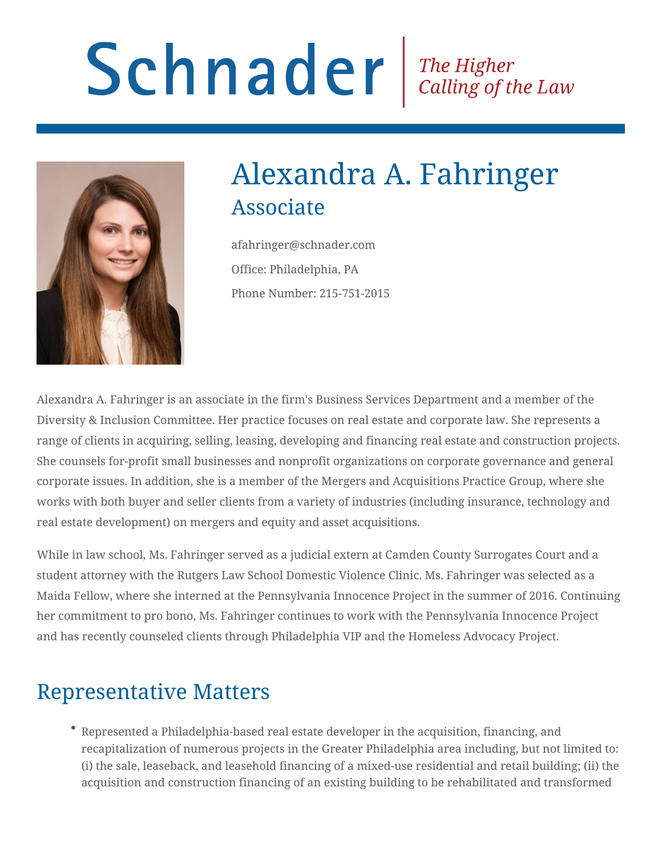# Schnader Fine Higher Calling of the Law



# Alexandra A. Fahringer Associate

afahringer@schnader.com Office: Philadelphia, PA Phone Number: 215-751-2015

Alexandra A. Fahringer is an associate in the firm's Business Services Department and a member of the Diversity & Inclusion Committee. Her practice focuses on real estate and corporate law. She represents a range of clients in acquiring, selling, leasing, developing and financing real estate and construction projects. She counsels for-profit small businesses and nonprofit organizations on corporate governance and general corporate issues. In addition, she is a member of the Mergers and Acquisitions Practice Group, where she works with both buyer and seller clients from a variety of industries (including insurance, technology and real estate development) on mergers and equity and asset acquisitions.

While in law school, Ms. Fahringer served as a judicial extern at Camden County Surrogates Court and a student attorney with the Rutgers Law School Domestic Violence Clinic. Ms. Fahringer was selected as a Maida Fellow, where she interned at the Pennsylvania Innocence Project in the summer of 2016. Continuing her commitment to pro bono, Ms. Fahringer continues to work with the Pennsylvania Innocence Project and has recently counseled clients through Philadelphia VIP and the Homeless Advocacy Project.

## Representative Matters

Represented a Philadelphia-based real estate developer in the acquisition, financing, and recapitalization of numerous projects in the Greater Philadelphia area including, but not limited to: (i) the sale, leaseback, and leasehold financing of a mixed-use residential and retail building; (ii) the acquisition and construction financing of an existing building to be rehabilitated and transformed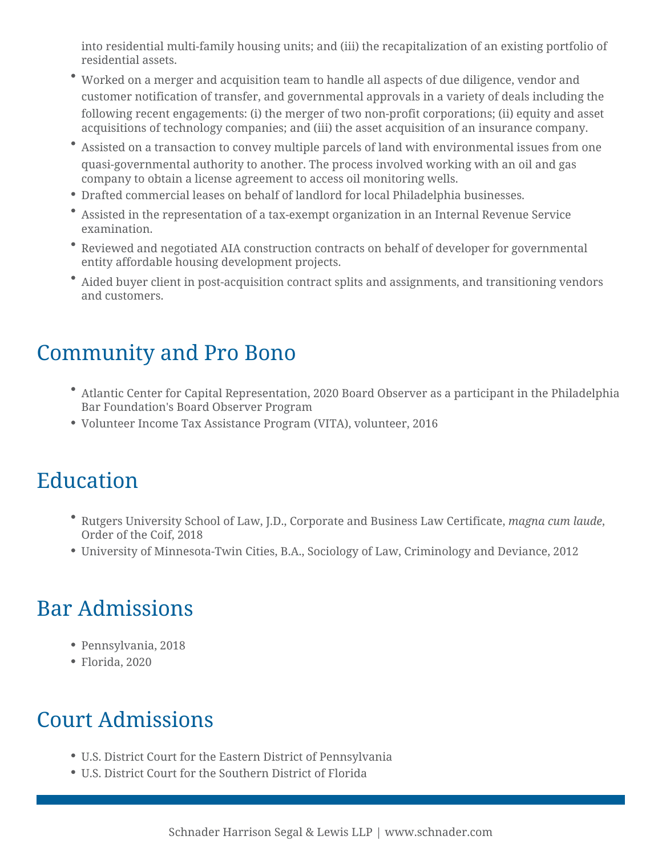into residential multi-family housing units; and (iii) the recapitalization of an existing portfolio of residential assets.

- Worked on a merger and acquisition team to handle all aspects of due diligence, vendor and customer notification of transfer, and governmental approvals in a variety of deals including the following recent engagements: (i) the merger of two non-profit corporations; (ii) equity and asset acquisitions of technology companies; and (iii) the asset acquisition of an insurance company.
- Assisted on a transaction to convey multiple parcels of land with environmental issues from one quasi-governmental authority to another. The process involved working with an oil and gas company to obtain a license agreement to access oil monitoring wells.
- Drafted commercial leases on behalf of landlord for local Philadelphia businesses.
- Assisted in the representation of a tax-exempt organization in an Internal Revenue Service examination.
- Reviewed and negotiated AIA construction contracts on behalf of developer for governmental entity affordable housing development projects.
- Aided buyer client in post-acquisition contract splits and assignments, and transitioning vendors and customers.

# Community and Pro Bono

- Atlantic Center for Capital Representation, 2020 Board Observer as a participant in the Philadelphia Bar Foundation's Board Observer Program
- Volunteer Income Tax Assistance Program (VITA), volunteer, 2016

## Education

- Rutgers University School of Law, J.D., Corporate and Business Law Certificate, *magna cum laude*, Order of the Coif, 2018
- University of Minnesota-Twin Cities, B.A., Sociology of Law, Criminology and Deviance, 2012

# Bar Admissions

- Pennsylvania, 2018
- Florida, 2020

#### Court Admissions

- U.S. District Court for the Eastern District of Pennsylvania
- U.S. District Court for the Southern District of Florida